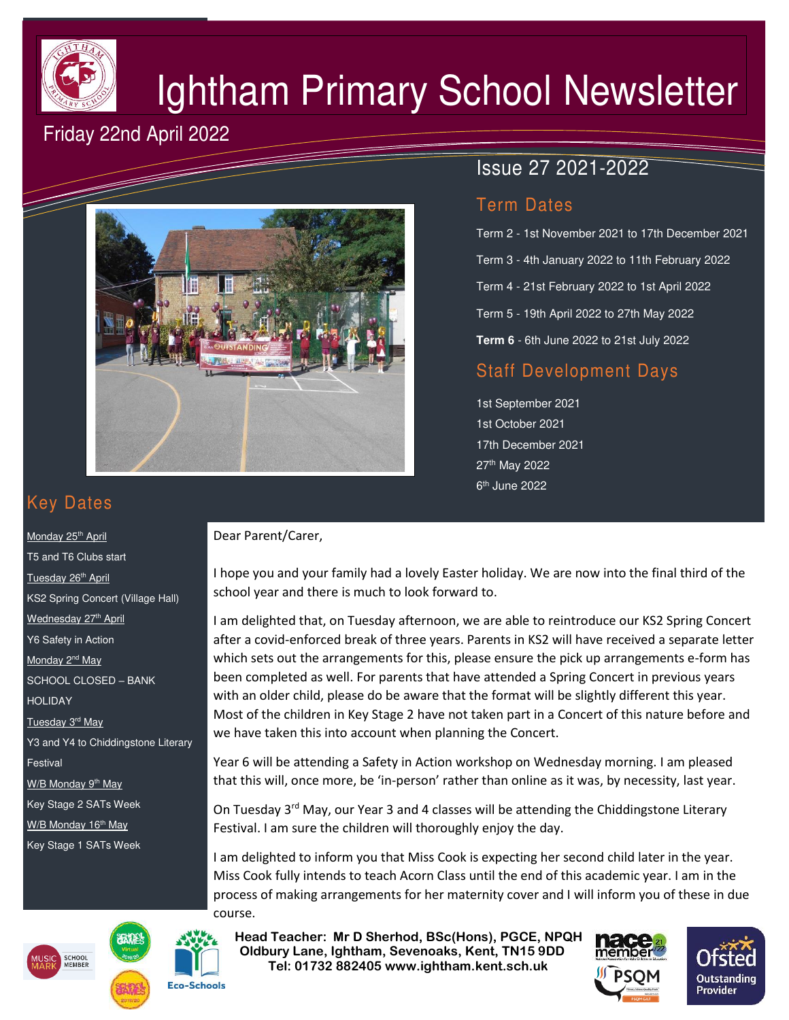

# Ightham Primary School Newsletter

## Friday 22nd April 2022



## Issue 27 2021-2022

#### Term Dates

Term 2 - 1st November 2021 to 17th December 2021 Term 3 - 4th January 2022 to 11th February 2022 Term 4 - 21st February 2022 to 1st April 2022 Term 5 - 19th April 2022 to 27th May 2022 **Term 6** - 6th June 2022 to 21st July 2022

### Staff Development Days

1st September 2021 1st October 2021 17th December 2021 27th May 2022 6<sup>th</sup> June 2022

## Key Dates

Monday 25<sup>th</sup> April T5 and T6 Clubs start Tuesday 26<sup>th</sup> April KS2 Spring Concert (Village Hall) Wednesday 27<sup>th</sup> April Y6 Safety in Action Monday 2<sup>nd</sup> May SCHOOL CLOSED – BANK HOLIDAY Tuesday 3<sup>rd</sup> May Y3 and Y4 to Chiddingstone Literary Festival W/B Monday 9<sup>th</sup> May Key Stage 2 SATs Week W/B Monday 16<sup>th</sup> May Key Stage 1 SATs Week





#### Dear Parent/Carer,

I hope you and your family had a lovely Easter holiday. We are now into the final third of the school year and there is much to look forward to.

I am delighted that, on Tuesday afternoon, we are able to reintroduce our KS2 Spring Concert after a covid-enforced break of three years. Parents in KS2 will have received a separate letter which sets out the arrangements for this, please ensure the pick up arrangements e-form has been completed as well. For parents that have attended a Spring Concert in previous years with an older child, please do be aware that the format will be slightly different this year. Most of the children in Key Stage 2 have not taken part in a Concert of this nature before and we have taken this into account when planning the Concert.

Year 6 will be attending a Safety in Action workshop on Wednesday morning. I am pleased that this will, once more, be 'in-person' rather than online as it was, by necessity, last year.

On Tuesday 3<sup>rd</sup> May, our Year 3 and 4 classes will be attending the Chiddingstone Literary Festival. I am sure the children will thoroughly enjoy the day.

I am delighted to inform you that Miss Cook is expecting her second child later in the year. Miss Cook fully intends to teach Acorn Class until the end of this academic year. I am in the process of making arrangements for her maternity cover and I will inform you of these in due course.

 **Head Teacher: Mr D Sherhod, BSc(Hons), PGCE, NPQH Oldbury Lane, Ightham, Sevenoaks, Kent, TN15 9DD** EXERIGING THE **TELE: 01732 882405 www.ightham.kent.sch.uk**<br>Tel: 01732 882405 www.ightham.kent.sch.uk



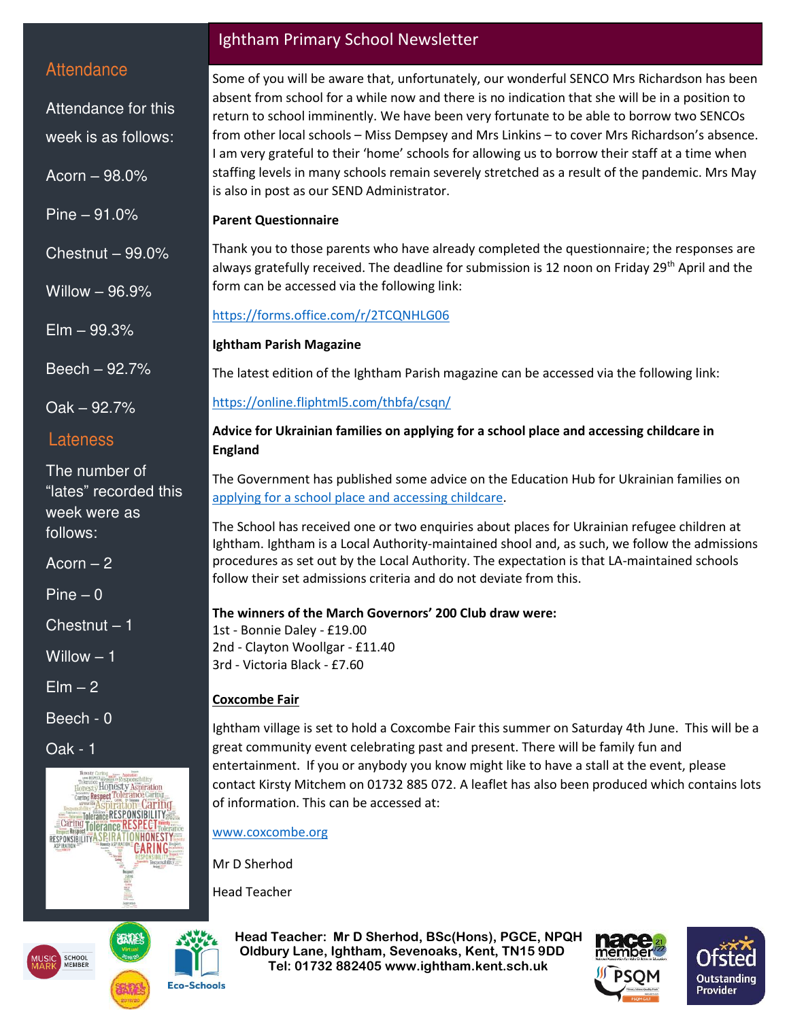#### **Attendance**

Attendance for this week is as follows:

Acorn – 98.0%

Pine – 91.0%

Chestnut – 99.0%

Willow – 96.9%

Elm – 99.3%

Beech – 92.7%

Oak – 92.7%

#### Lateness

The number of "lates" recorded this week were as follows:

 $Acorn - 2$ 

Pine – 0

Chestnut – 1

Willow – 1

 $E$ lm  $-2$ 

Beech - 0

Oak - 1



## **CHOOI Eco-Schools**

#### Ightham Primary School Newsletter

Some of you will be aware that, unfortunately, our wonderful SENCO Mrs Richardson has been absent from school for a while now and there is no indication that she will be in a position to return to school imminently. We have been very fortunate to be able to borrow two SENCOs from other local schools – Miss Dempsey and Mrs Linkins – to cover Mrs Richardson's absence. I am very grateful to their 'home' schools for allowing us to borrow their staff at a time when staffing levels in many schools remain severely stretched as a result of the pandemic. Mrs May is also in post as our SEND Administrator.

#### **Parent Questionnaire**

Thank you to those parents who have already completed the questionnaire; the responses are always gratefully received. The deadline for submission is 12 noon on Friday 29<sup>th</sup> April and the form can be accessed via the following link:

#### <https://forms.office.com/r/2TCQNHLG06>

#### **Ightham Parish Magazine**

The latest edition of the Ightham Parish magazine can be accessed via the following link:

#### <https://online.fliphtml5.com/thbfa/csqn/>

#### **Advice for Ukrainian families on applying for a school place and accessing childcare in England**

The Government has published some advice on the Education Hub for Ukrainian families on [applying for a school place and accessing childcare.](https://educationhub.blog.gov.uk/2022/04/11/how-do-families-arriving-from-ukraine-apply-for-a-school-place-and-childcare-%d1%8f%d0%ba-%d1%80%d0%be%d0%b4%d0%b8%d0%bd%d0%b0%d0%bc-%d1%89%d0%be-%d0%bf%d1%80%d0%b8%d1%97%d0%b6%d0%b4%d0%b6%d0%b0/?utm_source=13%20April%202022%20C19&utm_medium=Daily%20Email%20C19&utm_campaign=DfE%20C19)

The School has received one or two enquiries about places for Ukrainian refugee children at Ightham. Ightham is a Local Authority-maintained shool and, as such, we follow the admissions procedures as set out by the Local Authority. The expectation is that LA-maintained schools follow their set admissions criteria and do not deviate from this.

#### **The winners of the March Governors' 200 Club draw were:**

1st - Bonnie Daley - £19.00 2nd - Clayton Woollgar - £11.40 3rd - Victoria Black - £7.60

#### **Coxcombe Fair**

Ightham village is set to hold a Coxcombe Fair this summer on Saturday 4th June. This will be a great community event celebrating past and present. There will be family fun and entertainment. If you or anybody you know might like to have a stall at the event, please contact Kirsty Mitchem on 01732 885 072. A leaflet has also been produced which contains lots of information. This can be accessed at:

#### [www.coxcombe.org](http://www.coxcombe.org/)

Mr D Sherhod

Head Teacher

 **Head Teacher: Mr D Sherhod, BSc(Hons), PGCE, NPQH Oldbury Lane, Ightham, Sevenoaks, Kent, TN15 9DD Tel: 01732 882405 www.ightham.kent.sch.uk**